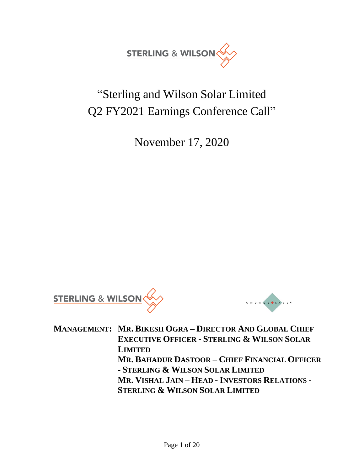

# "Sterling and Wilson Solar Limited Q2 FY2021 Earnings Conference Call"

November 17, 2020





**MANAGEMENT: MR. BIKESH OGRA – DIRECTOR AND GLOBAL CHIEF EXECUTIVE OFFICER - STERLING & WILSON SOLAR LIMITED MR. BAHADUR DASTOOR – CHIEF FINANCIAL OFFICER - STERLING & WILSON SOLAR LIMITED MR. VISHAL JAIN – HEAD - INVESTORS RELATIONS - STERLING & WILSON SOLAR LIMITED**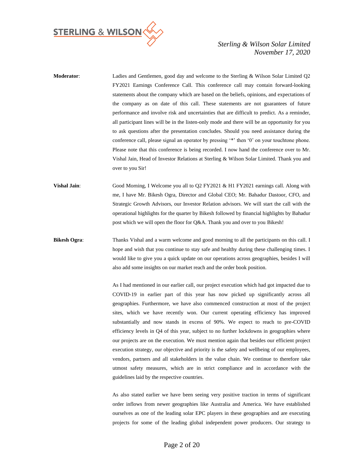

**Moderator**: Ladies and Gentlemen, good day and welcome to the Sterling & Wilson Solar Limited Q2 FY2021 Earnings Conference Call. This conference call may contain forward-looking statements about the company which are based on the beliefs, opinions, and expectations of the company as on date of this call. These statements are not guarantees of future performance and involve risk and uncertainties that are difficult to predict. As a reminder, all participant lines will be in the listen-only mode and there will be an opportunity for you to ask questions after the presentation concludes. Should you need assistance during the conference call, please signal an operator by pressing '\*' then '0' on your touchtone phone. Please note that this conference is being recorded. I now hand the conference over to Mr. Vishal Jain, Head of Investor Relations at Sterling & Wilson Solar Limited. Thank you and over to you Sir!

**Vishal Jain**: Good Morning, I Welcome you all to Q2 FY2021 & H1 FY2021 earnings call. Along with me, I have Mr. Bikesh Ogra, Director and Global CEO; Mr. Bahadur Dastoor, CFO, and Strategic Growth Advisors, our Investor Relation advisors. We will start the call with the operational highlights for the quarter by Bikesh followed by financial highlights by Bahadur post which we will open the floor for Q&A. Thank you and over to you Bikesh!

**Bikesh Ogra:** Thanks Vishal and a warm welcome and good morning to all the participants on this call. I hope and wish that you continue to stay safe and healthy during these challenging times. I would like to give you a quick update on our operations across geographies, besides I will also add some insights on our market reach and the order book position.

> As I had mentioned in our earlier call, our project execution which had got impacted due to COVID-19 in earlier part of this year has now picked up significantly across all geographies. Furthermore, we have also commenced construction at most of the project sites, which we have recently won. Our current operating efficiency has improved substantially and now stands in excess of 90%. We expect to reach to pre-COVID efficiency levels in Q4 of this year, subject to no further lockdowns in geographies where our projects are on the execution. We must mention again that besides our efficient project execution strategy, our objective and priority is the safety and wellbeing of our employees, vendors, partners and all stakeholders in the value chain. We continue to therefore take utmost safety measures, which are in strict compliance and in accordance with the guidelines laid by the respective countries.

> As also stated earlier we have been seeing very positive traction in terms of significant order inflows from newer geographies like Australia and America. We have established ourselves as one of the leading solar EPC players in these geographies and are executing projects for some of the leading global independent power producers. Our strategy to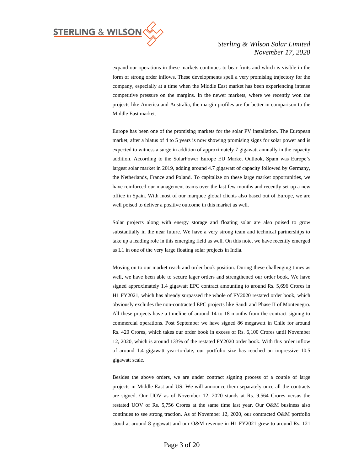

expand our operations in these markets continues to bear fruits and which is visible in the form of strong order inflows. These developments spell a very promising trajectory for the company, especially at a time when the Middle East market has been experiencing intense competitive pressure on the margins. In the newer markets, where we recently won the projects like America and Australia, the margin profiles are far better in comparison to the Middle East market.

Europe has been one of the promising markets for the solar PV installation. The European market, after a hiatus of 4 to 5 years is now showing promising signs for solar power and is expected to witness a surge in addition of approximately 7 gigawatt annually in the capacity addition. According to the SolarPower Europe EU Market Outlook, Spain was Europe's largest solar market in 2019, adding around 4.7 gigawatt of capacity followed by Germany, the Netherlands, France and Poland. To capitalize on these large market opportunities, we have reinforced our management teams over the last few months and recently set up a new office in Spain. With most of our marquee global clients also based out of Europe, we are well poised to deliver a positive outcome in this market as well.

Solar projects along with energy storage and floating solar are also poised to grow substantially in the near future. We have a very strong team and technical partnerships to take up a leading role in this emerging field as well. On this note, we have recently emerged as L1 in one of the very large floating solar projects in India.

Moving on to our market reach and order book position. During these challenging times as well, we have been able to secure lager orders and strengthened our order book. We have signed approximately 1.4 gigawatt EPC contract amounting to around Rs. 5,696 Crores in H1 FY2021, which has already surpassed the whole of FY2020 restated order book, which obviously excludes the non-contracted EPC projects like Saudi and Phase II of Montenegro. All these projects have a timeline of around 14 to 18 months from the contract signing to commercial operations. Post September we have signed 86 megawatt in Chile for around Rs. 420 Crores, which takes our order book in excess of Rs. 6,100 Crores until November 12, 2020, which is around 133% of the restated FY2020 order book. With this order inflow of around 1.4 gigawatt year-to-date, our portfolio size has reached an impressive 10.5 gigawatt scale.

Besides the above orders, we are under contract signing process of a couple of large projects in Middle East and US. We will announce them separately once all the contracts are signed. Our UOV as of November 12, 2020 stands at Rs. 9,564 Crores versus the restated UOV of Rs. 5,756 Crores at the same time last year. Our O&M business also continues to see strong traction. As of November 12, 2020, our contracted O&M portfolio stood at around 8 gigawatt and our O&M revenue in H1 FY2021 grew to around Rs. 121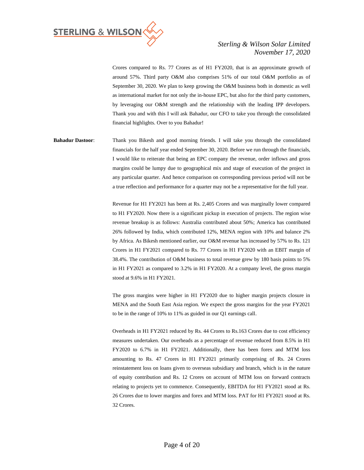

Crores compared to Rs. 77 Crores as of H1 FY2020, that is an approximate growth of around 57%. Third party O&M also comprises 51% of our total O&M portfolio as of September 30, 2020. We plan to keep growing the O&M business both in domestic as well as international market for not only the in-house EPC, but also for the third party customers, by leveraging our O&M strength and the relationship with the leading IPP developers. Thank you and with this I will ask Bahadur, our CFO to take you through the consolidated financial highlights. Over to you Bahadur!

**Bahadur Dastoor**: Thank you Bikesh and good morning friends. I will take you through the consolidated financials for the half year ended September 30, 2020. Before we run through the financials, I would like to reiterate that being an EPC company the revenue, order inflows and gross margins could be lumpy due to geographical mix and stage of execution of the project in any particular quarter. And hence comparison on corresponding previous period will not be a true reflection and performance for a quarter may not be a representative for the full year.

> Revenue for H1 FY2021 has been at Rs. 2,405 Crores and was marginally lower compared to H1 FY2020. Now there is a significant pickup in execution of projects. The region wise revenue breakup is as follows: Australia contributed about 50%; America has contributed 26% followed by India, which contributed 12%, MENA region with 10% and balance 2% by Africa. As Bikesh mentioned earlier, our O&M revenue has increased by 57% to Rs. 121 Crores in H1 FY2021 compared to Rs. 77 Crores in H1 FY2020 with an EBIT margin of 38.4%. The contribution of O&M business to total revenue grew by 180 basis points to 5% in H1 FY2021 as compared to 3.2% in H1 FY2020. At a company level, the gross margin stood at 9.6% in H1 FY2021.

> The gross margins were higher in H1 FY2020 due to higher margin projects closure in MENA and the South East Asia region. We expect the gross margins for the year FY2021 to be in the range of 10% to 11% as guided in our Q1 earnings call.

> Overheads in H1 FY2021 reduced by Rs. 44 Crores to Rs.163 Crores due to cost efficiency measures undertaken. Our overheads as a percentage of revenue reduced from 8.5% in H1 FY2020 to 6.7% in H1 FY2021. Additionally, there has been forex and MTM loss amounting to Rs. 47 Crores in H1 FY2021 primarily comprising of Rs. 24 Crores reinstatement loss on loans given to overseas subsidiary and branch, which is in the nature of equity contribution and Rs. 12 Crores on account of MTM loss on forward contracts relating to projects yet to commence. Consequently, EBITDA for H1 FY2021 stood at Rs. 26 Crores due to lower margins and forex and MTM loss. PAT for H1 FY2021 stood at Rs. 32 Crores.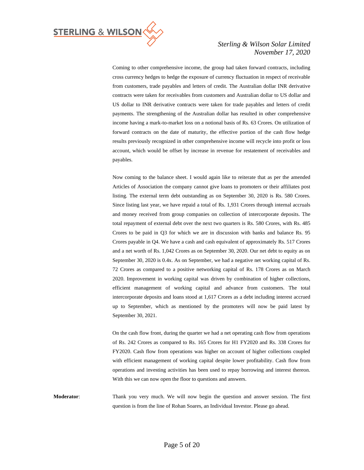

Coming to other comprehensive income, the group had taken forward contracts, including cross currency hedges to hedge the exposure of currency fluctuation in respect of receivable from customers, trade payables and letters of credit. The Australian dollar INR derivative contracts were taken for receivables from customers and Australian dollar to US dollar and US dollar to INR derivative contracts were taken for trade payables and letters of credit payments. The strengthening of the Australian dollar has resulted in other comprehensive income having a mark-to-market loss on a notional basis of Rs. 63 Crores. On utilization of forward contracts on the date of maturity, the effective portion of the cash flow hedge results previously recognized in other comprehensive income will recycle into profit or loss account, which would be offset by increase in revenue for restatement of receivables and payables.

Now coming to the balance sheet. I would again like to reiterate that as per the amended Articles of Association the company cannot give loans to promoters or their affiliates post listing. The external term debt outstanding as on September 30, 2020 is Rs. 580 Crores. Since listing last year, we have repaid a total of Rs. 1,931 Crores through internal accruals and money received from group companies on collection of intercorporate deposits. The total repayment of external debt over the next two quarters is Rs. 580 Crores, with Rs. 485 Crores to be paid in Q3 for which we are in discussion with banks and balance Rs. 95 Crores payable in Q4. We have a cash and cash equivalent of approximately Rs. 517 Crores and a net worth of Rs. 1,042 Crores as on September 30, 2020. Our net debt to equity as on September 30, 2020 is 0.4x. As on September, we had a negative net working capital of Rs. 72 Crores as compared to a positive networking capital of Rs. 178 Crores as on March 2020. Improvement in working capital was driven by combination of higher collections, efficient management of working capital and advance from customers. The total intercorporate deposits and loans stood at 1,617 Crores as a debt including interest accrued up to September, which as mentioned by the promoters will now be paid latest by September 30, 2021.

On the cash flow front, during the quarter we had a net operating cash flow from operations of Rs. 242 Crores as compared to Rs. 165 Crores for H1 FY2020 and Rs. 338 Crores for FY2020. Cash flow from operations was higher on account of higher collections coupled with efficient management of working capital despite lower profitability. Cash flow from operations and investing activities has been used to repay borrowing and interest thereon. With this we can now open the floor to questions and answers.

**Moderator**: Thank you very much. We will now begin the question and answer session. The first question is from the line of Rohan Soares, an Individual Investor. Please go ahead.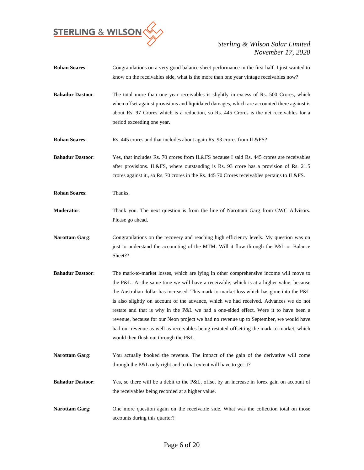

- **Rohan Soares**: Congratulations on a very good balance sheet performance in the first half. I just wanted to know on the receivables side, what is the more than one year vintage receivables now? **Bahadur Dastoor:** The total more than one year receivables is slightly in excess of Rs. 500 Crores, which when offset against provisions and liquidated damages, which are accounted there against is about Rs. 97 Crores which is a reduction, so Rs. 445 Crores is the net receivables for a period exceeding one year. **Rohan Soares**: Rs. 445 crores and that includes about again Rs. 93 crores from IL&FS? **Bahadur Dastoor**: Yes, that includes Rs. 70 crores from IL&FS because I said Rs. 445 crores are receivables after provisions. IL&FS, where outstanding is Rs. 93 crore has a provision of Rs. 21.5 crores against it., so Rs. 70 crores in the Rs. 445 70 Crores receivables pertains to IL&FS. **Rohan Soares**: Thanks. **Moderator**: Thank you. The next question is from the line of Narottam Garg from CWC Advisors. Please go ahead. Narottam Garg: Congratulations on the recovery and reaching high efficiency levels. My question was on just to understand the accounting of the MTM. Will it flow through the P&L or Balance Sheet??
- **Bahadur Dastoor**: The mark-to-market losses, which are lying in other comprehensive income will move to the P&L. At the same time we will have a receivable, which is at a higher value, because the Australian dollar has increased. This mark-to-market loss which has gone into the P&L is also slightly on account of the advance, which we had received. Advances we do not restate and that is why in the P&L we had a one-sided effect. Were it to have been a revenue, because for our Neon project we had no revenue up to September, we would have had our revenue as well as receivables being restated offsetting the mark-to-market, which would then flush out through the P&L.
- **Narottam Garg**: You actually booked the revenue. The impact of the gain of the derivative will come through the P&L only right and to that extent will have to get it?
- **Bahadur Dastoor:** Yes, so there will be a debit to the P&L, offset by an increase in forex gain on account of the receivables being recorded at a higher value.
- **Narottam Garg:** One more question again on the receivable side. What was the collection total on those accounts during this quarter?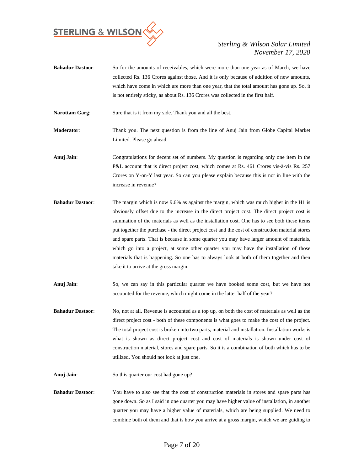

**Bahadur Dastoor**: So for the amounts of receivables, which were more than one year as of March, we have collected Rs. 136 Crores against those. And it is only because of addition of new amounts, which have come in which are more than one year, that the total amount has gone up. So, it is not entirely sticky, as about Rs. 136 Crores was collected in the first half.

**Narottam Garg:** Sure that is it from my side. Thank you and all the best.

**Moderator**: Thank you. The next question is from the line of Anuj Jain from Globe Capital Market Limited. Please go ahead.

- **Anuj Jain**: Congratulations for decent set of numbers. My question is regarding only one item in the P&L account that is direct project cost, which comes at Rs. 461 Crores vis-à-vis Rs. 257 Crores on Y-on-Y last year. So can you please explain because this is not in line with the increase in revenue?
- **Bahadur Dastoor:** The margin which is now 9.6% as against the margin, which was much higher in the H1 is obviously offset due to the increase in the direct project cost. The direct project cost is summation of the materials as well as the installation cost. One has to see both these items put together the purchase - the direct project cost and the cost of construction material stores and spare parts. That is because in some quarter you may have larger amount of materials, which go into a project, at some other quarter you may have the installation of those materials that is happening. So one has to always look at both of them together and then take it to arrive at the gross margin.
- **Anuj Jain**: So, we can say in this particular quarter we have booked some cost, but we have not accounted for the revenue, which might come in the latter half of the year?
- **Bahadur Dastoor:** No, not at all. Revenue is accounted as a top up, on both the cost of materials as well as the direct project cost - both of these components is what goes to make the cost of the project. The total project cost is broken into two parts, material and installation. Installation works is what is shown as direct project cost and cost of materials is shown under cost of construction material, stores and spare parts. So it is a combination of both which has to be utilized. You should not look at just one.
- **Anuj Jain**: So this quarter our cost had gone up?
- **Bahadur Dastoor**: You have to also see that the cost of construction materials in stores and spare parts has gone down. So as I said in one quarter you may have higher value of installation, in another quarter you may have a higher value of materials, which are being supplied. We need to combine both of them and that is how you arrive at a gross margin, which we are guiding to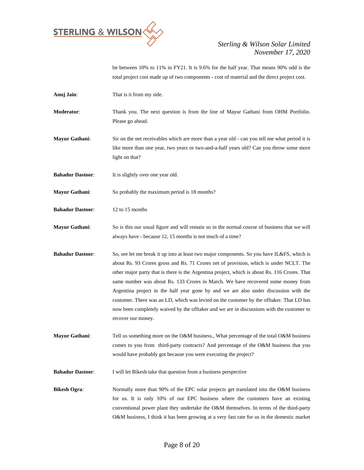

be between 10% to 11% in FY21. It is 9.6% for the half year. That means 90% odd is the total project cost made up of two components - cost of material and the direct project cost.

**Anuj Jain**: That is it from my side.

**Moderator**: Thank you. The next question is from the line of Mayur Gathani from OHM Portfolio. Please go ahead.

**Mayur Gathani:** Sir on the net receivables which are more than a year old - can you tell me what period it is like more than one year, two years or two-and-a-half years old? Can you throw some more light on that?

**Bahadur Dastoor:** It is slightly over one year old.

**Mayur Gathani**: So probably the maximum period is 18 months?

**Bahadur Dastoor**: 12 to 15 months

**Mayur Gathani**: So is this our usual figure and will remain so in the normal course of business that we will always have - because 12, 15 months is not much of a time?

**Bahadur Dastoor:** So, see let me break it up into at least two major components. So you have IL&FS, which is about Rs. 93 Crores gross and Rs. 71 Crores net of provision, which is under NCLT. The other major party that is there is the Argentina project, which is about Rs. 116 Crores. That same number was about Rs. 133 Crores in March. We have recovered some money from Argentina project in the half year gone by and we are also under discussion with the customer. There was an LD, which was levied on the customer by the offtaker. That LD has now been completely waived by the offtaker and we are in discussions with the customer to recover our money.

**Mayur Gathani**: Tell us something more on the O&M business., What percentage of the total O&M business comes to you from third-party contracts? And percentage of the O&M business that you would have probably got because you were executing the project?

**Bahadur Dastoor**: I will let Bikesh take that question from a business perspective

**Bikesh Ogra:** Normally more than 90% of the EPC solar projects get translated into the O&M business for us. It is only 10% of our EPC business where the customers have an existing conventional power plant they undertake the O&M themselves. In terms of the third-party O&M business, I think it has been growing at a very fast rate for us in the domestic market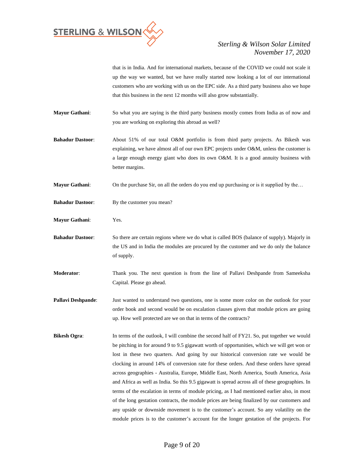

that is in India. And for international markets, because of the COVID we could not scale it up the way we wanted, but we have really started now looking a lot of our international customers who are working with us on the EPC side. As a third party business also we hope that this business in the next 12 months will also grow substantially.

**Mayur Gathani**: So what you are saying is the third party business mostly comes from India as of now and you are working on exploring this abroad as well?

**Bahadur Dastoor**: About 51% of our total O&M portfolio is from third party projects. As Bikesh was explaining, we have almost all of our own EPC projects under O&M, unless the customer is a large enough energy giant who does its own O&M. It is a good annuity business with better margins.

**Mayur Gathani:** On the purchase Sir, on all the orders do you end up purchasing or is it supplied by the...

- **Bahadur Dastoor:** By the customer you mean?
- **Mayur Gathani**: Yes.
- **Bahadur Dastoor**: So there are certain regions where we do what is called BOS (balance of supply). Majorly in the US and in India the modules are procured by the customer and we do only the balance of supply.
- **Moderator**: Thank you. The next question is from the line of Pallavi Deshpande from Sameeksha Capital. Please go ahead.
- **Pallavi Deshpande:** Just wanted to understand two questions, one is some more color on the outlook for your order book and second would be on escalation clauses given that module prices are going up. How well protected are we on that in terms of the contracts?
- **Bikesh Ogra:** In terms of the outlook, I will combine the second half of FY21. So, put together we would be pitching in for around 9 to 9.5 gigawatt worth of opportunities, which we will get won or lost in these two quarters. And going by our historical conversion rate we would be clocking in around 14% of conversion rate for these orders. And these orders have spread across geographies - Australia, Europe, Middle East, North America, South America, Asia and Africa as well as India. So this 9.5 gigawatt is spread across all of these geographies. In terms of the escalation in terms of module pricing, as I had mentioned earlier also, in most of the long gestation contracts, the module prices are being finalized by our customers and any upside or downside movement is to the customer's account. So any volatility on the module prices is to the customer's account for the longer gestation of the projects. For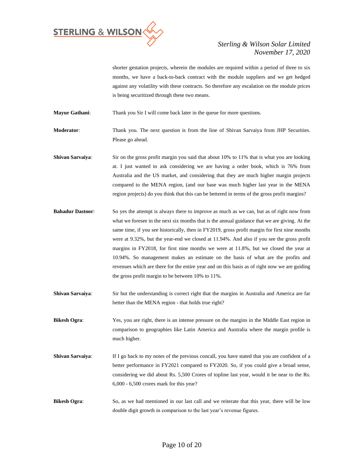

shorter gestation projects, wherein the modules are required within a period of three to six months, we have a back-to-back contract with the module suppliers and we get hedged against any volatility with these contracts. So therefore any escalation on the module prices is being securitized through these two means.

**Mayur Gathani:** Thank you Sir I will come back later in the queue for more questions.

**Moderator:** Thank you. The next question is from the line of Shivan Sarvaiya from JHP Securities. Please go ahead.

- **Shivan Sarvaiya**: Sir on the gross profit margin you said that about 10% to 11% that is what you are looking at. I just wanted to ask considering we are having a order book, which is 76% from Australia and the US market, and considering that they are much higher margin projects compared to the MENA region, (and our base was much higher last year in the MENA region projects) do you think that this can be bettered in terms of the gross profit margins?
- **Bahadur Dastoor**: So yes the attempt is always there to improve as much as we can, but as of right now from what we foresee in the next six months that is the annual guidance that we are giving. At the same time, if you see historically, then in FY2019, gross profit margin for first nine months were at 9.32%, but the year-end we closed at 11.94%. And also if you see the gross profit margins in FY2018, for first nine months we were at 11.8%, but we closed the year at 10.94%. So management makes an estimate on the basis of what are the profits and revenues which are there for the entire year and on this basis as of right now we are guiding the gross profit margin to be between 10% to 11%.
- **Shivan Sarvaiya:** Sir but the understanding is correct right that the margins in Australia and America are far better than the MENA region - that holds true right?

**Bikesh Ogra:** Yes, you are right, there is an intense pressure on the margins in the Middle East region in comparison to geographies like Latin America and Australia where the margin profile is much higher.

- **Shivan Sarvaiya:** If I go back to my notes of the previous concall, you have stated that you are confident of a better performance in FY2021 compared to FY2020. So, if you could give a broad sense, considering we did about Rs. 5,500 Crores of topline last year, would it be near to the Rs. 6,000 - 6,500 crores mark for this year?
- **Bikesh Ogra**: So, as we had mentioned in our last call and we reiterate that this year, there will be low double digit growth in comparison to the last year's revenue figures.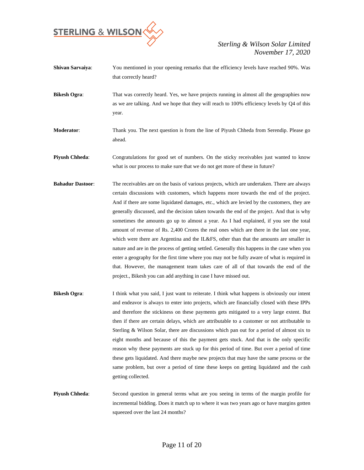

- **Shivan Sarvaiya**: You mentioned in your opening remarks that the efficiency levels have reached 90%. Was that correctly heard?
- **Bikesh Ogra:** That was correctly heard. Yes, we have projects running in almost all the geographies now as we are talking. And we hope that they will reach to 100% efficiency levels by Q4 of this year.
- **Moderator**: Thank you. The next question is from the line of Piyush Chheda from Serendip. Please go ahead.
- **Piyush Chheda:** Congratulations for good set of numbers. On the sticky receivables just wanted to know what is our process to make sure that we do not get more of these in future?
- **Bahadur Dastoor**: The receivables are on the basis of various projects, which are undertaken. There are always certain discussions with customers, which happens more towards the end of the project. And if there are some liquidated damages, etc., which are levied by the customers, they are generally discussed, and the decision taken towards the end of the project. And that is why sometimes the amounts go up to almost a year. As I had explained, if you see the total amount of revenue of Rs. 2,400 Crores the real ones which are there in the last one year, which were there are Argentina and the IL&FS, other than that the amounts are smaller in nature and are in the process of getting settled. Generally this happens in the case when you enter a geography for the first time where you may not be fully aware of what is required in that. However, the management team takes care of all of that towards the end of the project., Bikesh you can add anything in case I have missed out.
- **Bikesh Ogra:** I think what you said, I just want to reiterate. I think what happens is obviously our intent and endeavor is always to enter into projects, which are financially closed with these IPPs and therefore the stickiness on these payments gets mitigated to a very large extent. But then if there are certain delays, which are attributable to a customer or not attributable to Sterling & Wilson Solar, there are discussions which pan out for a period of almost six to eight months and because of this the payment gets stuck. And that is the only specific reason why these payments are stuck up for this period of time. But over a period of time these gets liquidated. And there maybe new projects that may have the same process or the same problem, but over a period of time these keeps on getting liquidated and the cash getting collected.
- **Piyush Chheda**: Second question in general terms what are you seeing in terms of the margin profile for incremental bidding. Does it match up to where it was two years ago or have margins gotten squeezed over the last 24 months?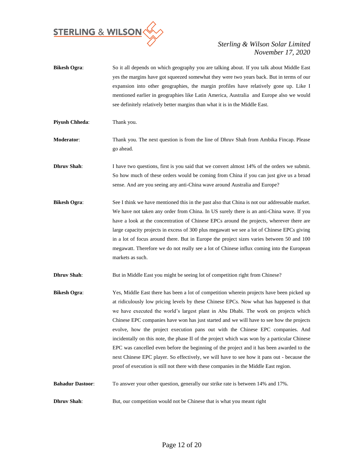

- **Bikesh Ogra:** So it all depends on which geography you are talking about. If you talk about Middle East yes the margins have got squeezed somewhat they were two years back. But in terms of our expansion into other geographies, the margin profiles have relatively gone up. Like I mentioned earlier in geographies like Latin America, Australia and Europe also we would see definitely relatively better margins than what it is in the Middle East.
- **Piyush Chheda:** Thank you.
- **Moderator**: Thank you. The next question is from the line of Dhruv Shah from Ambika Fincap. Please go ahead.
- **Dhruv Shah:** I have two questions, first is you said that we convert almost 14% of the orders we submit. So how much of these orders would be coming from China if you can just give us a broad sense. And are you seeing any anti-China wave around Australia and Europe?
- **Bikesh Ogra:** See I think we have mentioned this in the past also that China is not our addressable market. We have not taken any order from China. In US surely there is an anti-China wave. If you have a look at the concentration of Chinese EPCs around the projects, wherever there are large capacity projects in excess of 300 plus megawatt we see a lot of Chinese EPCs giving in a lot of focus around there. But in Europe the project sizes varies between 50 and 100 megawatt. Therefore we do not really see a lot of Chinese influx coming into the European markets as such.
- **Dhruv Shah:** But in Middle East you might be seeing lot of competition right from Chinese?
- **Bikesh Ogra:** Yes, Middle East there has been a lot of competition wherein projects have been picked up at ridiculously low pricing levels by these Chinese EPCs. Now what has happened is that we have executed the world's largest plant in Abu Dhabi. The work on projects which Chinese EPC companies have won has just started and we will have to see how the projects evolve, how the project execution pans out with the Chinese EPC companies. And incidentally on this note, the phase II of the project which was won by a particular Chinese EPC was cancelled even before the beginning of the project and it has been awarded to the next Chinese EPC player. So effectively, we will have to see how it pans out - because the proof of execution is still not there with these companies in the Middle East region.
- **Bahadur Dastoor**: To answer your other question, generally our strike rate is between 14% and 17%.
- **Dhruv Shah**: But, our competition would not be Chinese that is what you meant right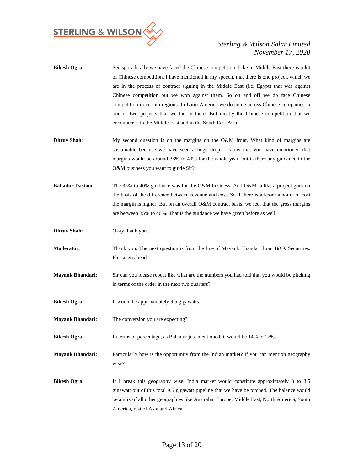

| <b>Bikesh Ogra:</b> | See sporadically we have faced the Chinese competition. Like in Middle East there is a lot |
|---------------------|--------------------------------------------------------------------------------------------|
|                     | of Chinese competition. I have mentioned in my speech, that there is one project, which we |
|                     | are in the process of contract signing in the Middle East (i.e. Egypt) that was against    |
|                     | Chinese competition but we won against them. So on and off we do face Chinese              |
|                     | competition in certain regions. In Latin America we do come across Chinese companies in    |
|                     | one or two projects that we bid in there. But mostly the Chinese competition that we       |
|                     | encounter is in the Middle East and in the South East Asia.                                |
|                     |                                                                                            |

- **Dhruv Shah**: My second question is on the margins on the O&M front. What kind of margins are sustainable because we have seen a huge drop. I know that you have mentioned that margins would be around 38% to 40% for the whole year, but is there any guidance in the O&M business you want to guide Sir?
- **Bahadur Dastoor**: The 35% to 40% guidance was for the O&M business. And O&M unlike a project goes on the basis of the difference between revenue and cost. So if there is a lesser amount of cost the margin is higher. But on an overall O&M contract basis, we feel that the gross margins are between 35% to 40%. That is the guidance we have given before as well.
- **Dhruv Shah**: Okay thank you.
- **Moderator:** Thank you. The next question is from the line of Mayank Bhandari from B&K Securities. Please go ahead.
- **Mayank Bhandari**: Sir can you please repeat like what are the numbers you had told that you would be pitching in terms of the order in the next two quarters?
- **Bikesh Ogra:** It would be approximately 9.5 gigawatts.
- **Mayank Bhandari**: The conversion you are expecting?
- **Bikesh Ogra:** In terms of percentage, as Bahadur just mentioned, it would be 14% to 17%.

**Mayank Bhandari**: Particularly how is the opportunity from the Indian market? If you can mention geography wise?

**Bikesh Ogra:** If I break this geography wise, India market would constitute approximately 3 to 3.5 gigawatt out of this total 9.5 gigawatt pipeline that we have be pitched. The balance would be a mix of all other geographies like Australia, Europe, Middle East, North America, South America, rest of Asia and Africa.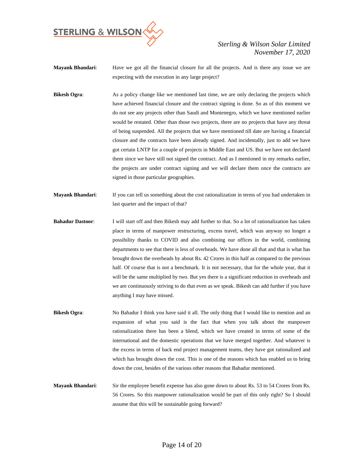

- **Mayank Bhandari**: Have we got all the financial closure for all the projects. And is there any issue we are expecting with the execution in any large project?
- **Bikesh Ogra:** As a policy change like we mentioned last time, we are only declaring the projects which have achieved financial closure and the contract signing is done. So as of this moment we do not see any projects other than Saudi and Montenegro, which we have mentioned earlier would be restated. Other than those two projects, there are no projects that have any threat of being suspended. All the projects that we have mentioned till date are having a financial closure and the contracts have been already signed. And incidentally, just to add we have got certain LNTP for a couple of projects in Middle East and US. But we have not declared them since we have still not signed the contract. And as I mentioned in my remarks earlier, the projects are under contract signing and we will declare them once the contracts are signed in those particular geographies.
- **Mayank Bhandari**: If you can tell us something about the cost rationalization in terms of you had undertaken in last quarter and the impact of that?
- **Bahadur Dastoor**: I will start off and then Bikesh may add further to that. So a lot of rationalization has taken place in terms of manpower restructuring, excess travel, which was anyway no longer a possibility thanks to COVID and also combining our offices in the world, combining departments to see that there is less of overheads. We have done all that and that is what has brought down the overheads by about Rs. 42 Crores in this half as compared to the previous half. Of course that is not a benchmark. It is not necessary, that for the whole year, that it will be the same multiplied by two. But yes there is a significant reduction in overheads and we are continuously striving to do that even as we speak. Bikesh can add further if you have anything I may have missed.
- **Bikesh Ogra:** No Bahadur I think you have said it all. The only thing that I would like to mention and an expansion of what you said is the fact that when you talk about the manpower rationalization there has been a blend, which we have created in terms of some of the international and the domestic operations that we have merged together. And whatever is the excess in terms of back end project management teams, they have got rationalized and which has brought down the cost. This is one of the reasons which has enabled us to bring down the cost, besides of the various other reasons that Bahadur mentioned.
- **Mayank Bhandari**: Sir the employee benefit expense has also gone down to about Rs. 53 to 54 Crores from Rs. 56 Crores. So this manpower rationalization would be part of this only right? So I should assume that this will be sustainable going forward?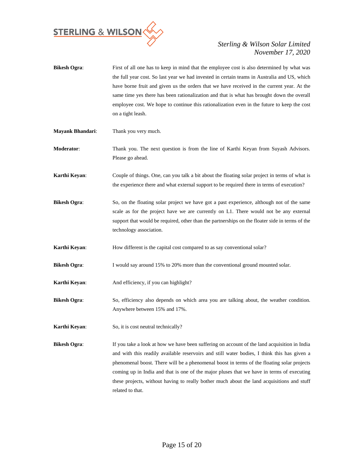

- **Bikesh Ogra:** First of all one has to keep in mind that the employee cost is also determined by what was the full year cost. So last year we had invested in certain teams in Australia and US, which have borne fruit and given us the orders that we have received in the current year. At the same time yes there has been rationalization and that is what has brought down the overall employee cost. We hope to continue this rationalization even in the future to keep the cost on a tight leash.
- **Mayank Bhandari**: Thank you very much.
- **Moderator**: Thank you. The next question is from the line of Karthi Keyan from Suyash Advisors. Please go ahead.
- **Karthi Keyan**: Couple of things. One, can you talk a bit about the floating solar project in terms of what is the experience there and what external support to be required there in terms of execution?
- **Bikesh Ogra:** So, on the floating solar project we have got a past experience, although not of the same scale as for the project have we are currently on L1. There would not be any external support that would be required, other than the partnerships on the floater side in terms of the technology association.
- **Karthi Keyan:** How different is the capital cost compared to as say conventional solar?
- **Bikesh Ogra:** I would say around 15% to 20% more than the conventional ground mounted solar.
- **Karthi Keyan:** And efficiency, if you can highlight?
- **Bikesh Ogra**: So, efficiency also depends on which area you are talking about, the weather condition. Anywhere between 15% and 17%.
- **Karthi Keyan:** So, it is cost neutral technically?
- **Bikesh Ogra:** If you take a look at how we have been suffering on account of the land acquisition in India and with this readily available reservoirs and still water bodies, I think this has given a phenomenal boost. There will be a phenomenal boost in terms of the floating solar projects coming up in India and that is one of the major pluses that we have in terms of executing these projects, without having to really bother much about the land acquisitions and stuff related to that.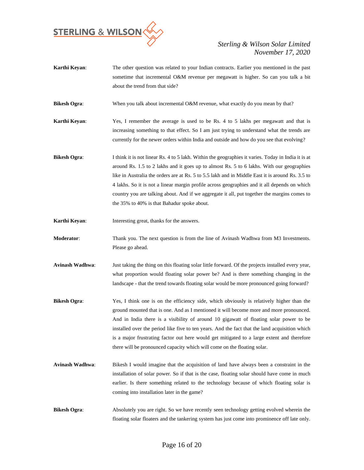

- **Karthi Keyan**: The other question was related to your Indian contracts. Earlier you mentioned in the past sometime that incremental O&M revenue per megawatt is higher. So can you talk a bit about the trend from that side? **Bikesh Ogra:** When you talk about incremental O&M revenue, what exactly do you mean by that? **Karthi Keyan**: Yes, I remember the average is used to be Rs. 4 to 5 lakhs per megawatt and that is increasing something to that effect. So I am just trying to understand what the trends are currently for the newer orders within India and outside and how do you see that evolving? **Bikesh Ogra**: I think it is not linear Rs. 4 to 5 lakh. Within the geographies it varies. Today in India it is at around Rs. 1.5 to 2 lakhs and it goes up to almost Rs. 5 to 6 lakhs. With our geographies like in Australia the orders are at Rs. 5 to 5.5 lakh and in Middle East it is around Rs. 3.5 to 4 lakhs. So it is not a linear margin profile across geographies and it all depends on which country you are talking about. And if we aggregate it all, put together the margins comes to the 35% to 40% is that Bahadur spoke about. **Karthi Keyan:** Interesting great, thanks for the answers. **Moderator**: Thank you. The next question is from the line of Avinash Wadhwa from M3 Investments. Please go ahead. **Avinash Wadhwa**: Just taking the thing on this floating solar little forward. Of the projects installed every year, what proportion would floating solar power be? And is there something changing in the landscape - that the trend towards floating solar would be more pronounced going forward? **Bikesh Ogra**: Yes, I think one is on the efficiency side, which obviously is relatively higher than the
- ground mounted that is one. And as I mentioned it will become more and more pronounced. And in India there is a visibility of around 10 gigawatt of floating solar power to be installed over the period like five to ten years. And the fact that the land acquisition which is a major frustrating factor out here would get mitigated to a large extent and therefore there will be pronounced capacity which will come on the floating solar.
- **Avinash Wadhwa**: Bikesh I would imagine that the acquisition of land have always been a constraint in the installation of solar power. So if that is the case, floating solar should have come in much earlier. Is there something related to the technology because of which floating solar is coming into installation later in the game?
- **Bikesh Ogra:** Absolutely you are right. So we have recently seen technology getting evolved wherein the floating solar floaters and the tankering system has just come into prominence off late only.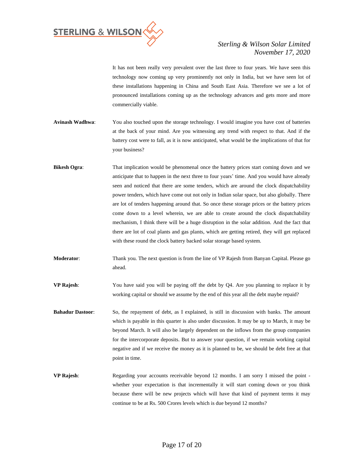

It has not been really very prevalent over the last three to four years. We have seen this technology now coming up very prominently not only in India, but we have seen lot of these installations happening in China and South East Asia. Therefore we see a lot of pronounced installations coming up as the technology advances and gets more and more commercially viable.

- **Avinash Wadhwa**: You also touched upon the storage technology. I would imagine you have cost of batteries at the back of your mind. Are you witnessing any trend with respect to that. And if the battery cost were to fall, as it is now anticipated, what would be the implications of that for your business?
- **Bikesh Ogra:** That implication would be phenomenal once the battery prices start coming down and we anticipate that to happen in the next three to four years' time. And you would have already seen and noticed that there are some tenders, which are around the clock dispatchability power tenders, which have come out not only in Indian solar space, but also globally. There are lot of tenders happening around that. So once these storage prices or the battery prices come down to a level wherein, we are able to create around the clock dispatchability mechanism, I think there will be a huge disruption in the solar addition. And the fact that there are lot of coal plants and gas plants, which are getting retired, they will get replaced with these round the clock battery backed solar storage based system.
- **Moderator:** Thank you. The next question is from the line of VP Rajesh from Banyan Capital. Please go ahead.
- **VP Rajesh**: You have said you will be paying off the debt by Q4. Are you planning to replace it by working capital or should we assume by the end of this year all the debt maybe repaid?
- **Bahadur Dastoor**: So, the repayment of debt, as I explained, is still in discussion with banks. The amount which is payable in this quarter is also under discussion. It may be up to March, it may be beyond March. It will also be largely dependent on the inflows from the group companies for the intercorporate deposits. But to answer your question, if we remain working capital negative and if we receive the money as it is planned to be, we should be debt free at that point in time.
- **VP Rajesh:** Regarding your accounts receivable beyond 12 months. I am sorry I missed the point whether your expectation is that incrementally it will start coming down or you think because there will be new projects which will have that kind of payment terms it may continue to be at Rs. 500 Crores levels which is due beyond 12 months?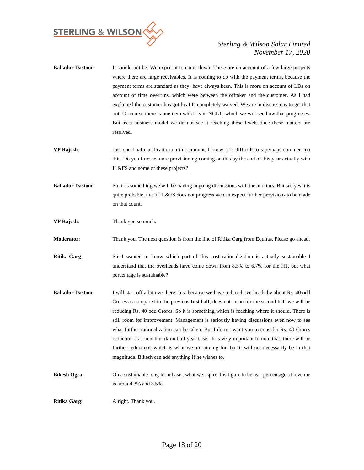

- **Bahadur Dastoor**: It should not be. We expect it to come down. These are on account of a few large projects where there are large receivables. It is nothing to do with the payment terms, because the payment terms are standard as they have always been. This is more on account of LDs on account of time overruns, which were between the offtaker and the customer. As I had explained the customer has got his LD completely waived. We are in discussions to get that out. Of course there is one item which is in NCLT, which we will see how that progresses. But as a business model we do not see it reaching these levels once these matters are resolved.
- **VP Rajesh**: Just one final clarification on this amount. I know it is difficult to s perhaps comment on this. Do you foresee more provisioning coming on this by the end of this year actually with IL&FS and some of these projects?
- **Bahadur Dastoor:** So, it is something we will be having ongoing discussions with the auditors. But see yes it is quite probable, that if IL&FS does not progress we can expect further provisions to be made on that count.
- **VP Rajesh**: Thank you so much.

**Moderator**: Thank you. The next question is from the line of Ritika Garg from Equitas. Please go ahead.

- **Ritika Garg:** Sir I wanted to know which part of this cost rationalization is actually sustainable I understand that the overheads have come down from 8.5% to 6.7% for the H1, but what percentage is sustainable?
- **Bahadur Dastoor**: I will start off a bit over here. Just because we have reduced overheads by about Rs. 40 odd Crores as compared to the previous first half, does not mean for the second half we will be reducing Rs. 40 odd Crores. So it is something which is reaching where it should. There is still room for improvement. Management is seriously having discussions even now to see what further rationalization can be taken. But I do not want you to consider Rs. 40 Crores reduction as a benchmark on half year basis. It is very important to note that, there will be further reductions which is what we are aiming for, but it will not necessarily be in that magnitude. Bikesh can add anything if he wishes to.
- **Bikesh Ogra:** On a sustainable long-term basis, what we aspire this figure to be as a percentage of revenue is around 3% and 3.5%.

**Ritika Garg**: Alright. Thank you.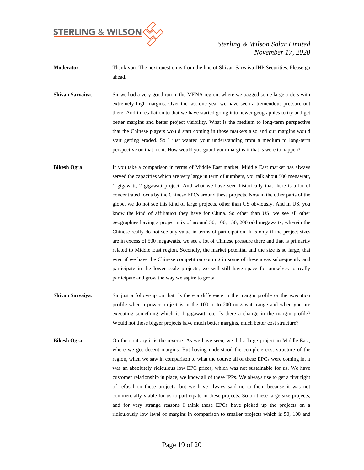

- **Moderator**: Thank you. The next question is from the line of Shivan Sarvaiya JHP Securities. Please go ahead.
- **Shivan Sarvaiya**: Sir we had a very good run in the MENA region, where we bagged some large orders with extremely high margins. Over the last one year we have seen a tremendous pressure out there. And in retaliation to that we have started going into newer geographies to try and get better margins and better project visibility. What is the medium to long-term perspective that the Chinese players would start coming in those markets also and our margins would start getting eroded. So I just wanted your understanding from a medium to long-term perspective on that front. How would you guard your margins if that is were to happen?
- **Bikesh Ogra:** If you take a comparison in terms of Middle East market. Middle East market has always served the capacities which are very large in term of numbers, you talk about 500 megawatt, 1 gigawatt, 2 gigawatt project. And what we have seen historically that there is a lot of concentrated focus by the Chinese EPCs around these projects. Now in the other parts of the globe, we do not see this kind of large projects, other than US obviously. And in US, you know the kind of affiliation they have for China. So other than US, we see all other geographies having a project mix of around 50, 100, 150, 200 odd megawatts; wherein the Chinese really do not see any value in terms of participation. It is only if the project sizes are in excess of 500 megawatts, we see a lot of Chinese pressure there and that is primarily related to Middle East region. Secondly, the market potential and the size is so large, that even if we have the Chinese competition coming in some of these areas subsequently and participate in the lower scale projects, we will still have space for ourselves to really participate and grow the way we aspire to grow.
- **Shivan Sarvaiya:** Sir just a follow-up on that. Is there a difference in the margin profile or the execution profile when a power project is in the 100 to to 200 megawatt range and when you are executing something which is 1 gigawatt, etc. Is there a change in the margin profile? Would not those bigger projects have much better margins, much better cost structure?
- **Bikesh Ogra:** On the contrary it is the reverse. As we have seen, we did a large project in Middle East, where we got decent margins. But having understood the complete cost structure of the region, when we saw in comparison to what the course all of these EPCs were coming in, it was an absolutely ridiculous low EPC prices, which was not sustainable for us. We have customer relationship in place, we know all of these IPPs. We always use to get a first right of refusal on these projects, but we have always said no to them because it was not commercially viable for us to participate in these projects. So on these large size projects, and for very strange reasons I think these EPCs have picked up the projects on a ridiculously low level of margins in comparison to smaller projects which is 50, 100 and